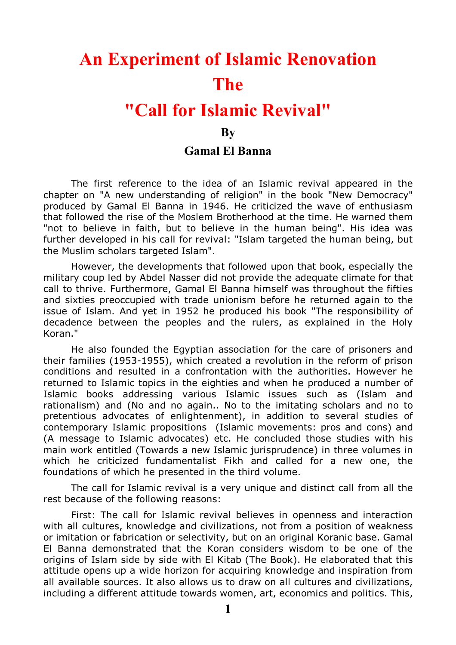## **An Experiment of Islamic Renovation The**

## **"Call for Islamic Revival"**

## **By**

## **Gamal El Banna**

The first reference to the idea of an Islamic revival appeared in the chapter on "A new understanding of religion" in the book "New Democracy" produced by Gamal El Banna in 1946. He criticized the wave of enthusiasm that followed the rise of the Moslem Brotherhood at the time. He warned them "not to believe in faith, but to believe in the human being". His idea was further developed in his call for revival: "Islam targeted the human being, but the Muslim scholars targeted Islam".

However, the developments that followed upon that book, especially the military coup led by Abdel Nasser did not provide the adequate climate for that call to thrive. Furthermore, Gamal El Banna himself was throughout the fifties and sixties preoccupied with trade unionism before he returned again to the issue of Islam. And yet in 1952 he produced his book "The responsibility of decadence between the peoples and the rulers, as explained in the Holy Koran."

He also founded the Egyptian association for the care of prisoners and their families (1953-1955), which created a revolution in the reform of prison conditions and resulted in a confrontation with the authorities. However he returned to Islamic topics in the eighties and when he produced a number of Islamic books addressing various Islamic issues such as (Islam and rationalism) and (No and no again.. No to the imitating scholars and no to pretentious advocates of enlightenment), in addition to several studies of contemporary Islamic propositions (Islamic movements: pros and cons) and (A message to Islamic advocates) etc. He concluded those studies with his main work entitled (Towards a new Islamic jurisprudence) in three volumes in which he criticized fundamentalist Fikh and called for a new one, the foundations of which he presented in the third volume.

The call for Islamic revival is a very unique and distinct call from all the rest because of the following reasons:

First: The call for Islamic revival believes in openness and interaction with all cultures, knowledge and civilizations, not from a position of weakness or imitation or fabrication or selectivity, but on an original Koranic base. Gamal El Banna demonstrated that the Koran considers wisdom to be one of the origins of Islam side by side with El Kitab (The Book). He elaborated that this attitude opens up a wide horizon for acquiring knowledge and inspiration from all available sources. It also allows us to draw on all cultures and civilizations, including a different attitude towards women, art, economics and politics. This,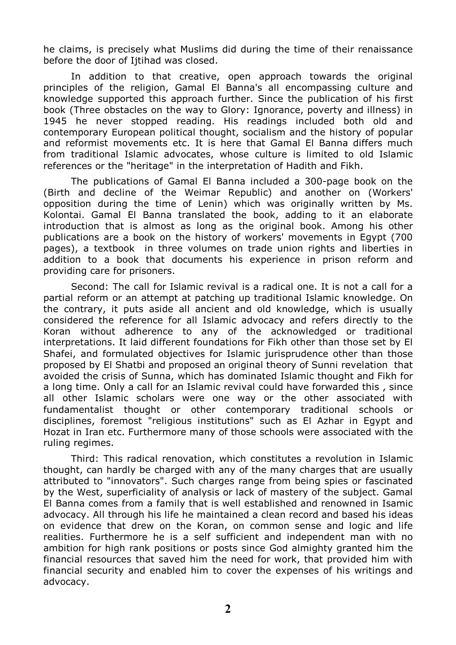he claims, is precisely what Muslims did during the time of their renaissance before the door of Ijtihad was closed.

In addition to that creative, open approach towards the original principles of the religion, Gamal El Banna's all encompassing culture and knowledge supported this approach further. Since the publication of his first book (Three obstacles on the way to Glory: Ignorance, poverty and illness) in 1945 he never stopped reading. His readings included both old and contemporary European political thought, socialism and the history of popular and reformist movements etc. It is here that Gamal El Banna differs much from traditional Islamic advocates, whose culture is limited to old Islamic references or the "heritage" in the interpretation of Hadith and Fikh.

The publications of Gamal El Banna included a 300-page book on the (Birth and decline of the Weimar Republic) and another on (Workers' opposition during the time of Lenin) which was originally written by Ms. Kolontai. Gamal El Banna translated the book, adding to it an elaborate introduction that is almost as long as the original book. Among his other publications are a book on the history of workers' movements in Egypt (700 pages), a textbook in three volumes on trade union rights and liberties in addition to a book that documents his experience in prison reform and providing care for prisoners.

Second: The call for Islamic revival is a radical one. It is not a call for a partial reform or an attempt at patching up traditional Islamic knowledge. On the contrary, it puts aside all ancient and old knowledge, which is usually considered the reference for all Islamic advocacy and refers directly to the Koran without adherence to any of the acknowledged or traditional interpretations. It laid different foundations for Fikh other than those set by El Shafei, and formulated objectives for Islamic jurisprudence other than those proposed by El Shatbi and proposed an original theory of Sunni revelation that avoided the crisis of Sunna, which has dominated Islamic thought and Fikh for a long time. Only a call for an Islamic revival could have forwarded this , since all other Islamic scholars were one way or the other associated with fundamentalist thought or other contemporary traditional schools or disciplines, foremost "religious institutions" such as El Azhar in Egypt and Hozat in Iran etc. Furthermore many of those schools were associated with the ruling regimes.

Third: This radical renovation, which constitutes a revolution in Islamic thought, can hardly be charged with any of the many charges that are usually attributed to "innovators". Such charges range from being spies or fascinated by the West, superficiality of analysis or lack of mastery of the subject. Gamal El Banna comes from a family that is well established and renowned in Isamic advocacy. All through his life he maintained a clean record and based his ideas on evidence that drew on the Koran, on common sense and logic and life realities. Furthermore he is a self sufficient and independent man with no ambition for high rank positions or posts since God almighty granted him the financial resources that saved him the need for work, that provided him with financial security and enabled him to cover the expenses of his writings and advocacy.